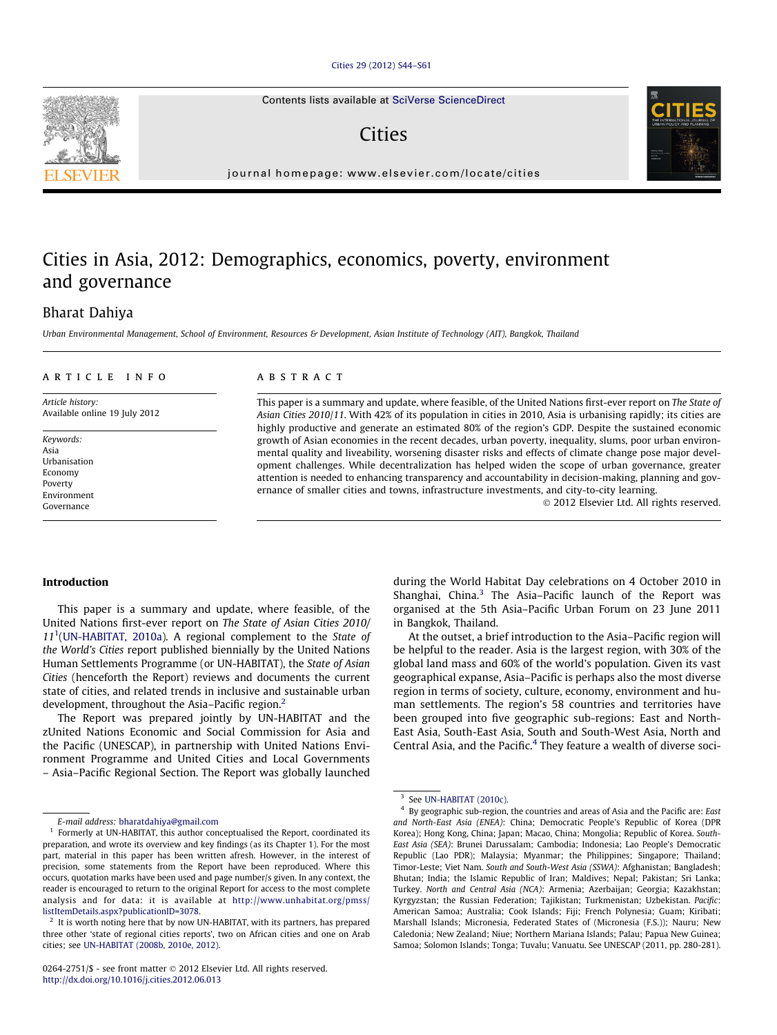#### [Cities 29 \(2012\) S44–S61](http://dx.doi.org/10.1016/j.cities.2012.06.013)

Contents lists available at [SciVerse ScienceDirect](http://www.sciencedirect.com/science/journal/02642751)

**Cities** 

journal homepage: [www.elsevier.com/locate/cities](http://www.elsevier.com/locate/cities)

## Cities in Asia, 2012: Demographics, economics, poverty, environment and governance

### Bharat Dahiya

Urban Environmental Management, School of Environment, Resources & Development, Asian Institute of Technology (AIT), Bangkok, Thailand

#### article info

Article history: Available online 19 July 2012

Keywords: Asia Urbanisation Economy Poverty Environment Governance

#### **ABSTRACT**

This paper is a summary and update, where feasible, of the United Nations first-ever report on The State of Asian Cities 2010/11. With 42% of its population in cities in 2010, Asia is urbanising rapidly; its cities are highly productive and generate an estimated 80% of the region's GDP. Despite the sustained economic growth of Asian economies in the recent decades, urban poverty, inequality, slums, poor urban environmental quality and liveability, worsening disaster risks and effects of climate change pose major development challenges. While decentralization has helped widen the scope of urban governance, greater attention is needed to enhancing transparency and accountability in decision-making, planning and governance of smaller cities and towns, infrastructure investments, and city-to-city learning.

- 2012 Elsevier Ltd. All rights reserved.

#### Introduction

This paper is a summary and update, where feasible, of the United Nations first-ever report on The State of Asian Cities 2010/  $11<sup>1</sup>$ [\(UN-HABITAT, 2010a](#page--1-0)). A regional complement to the State of the World's Cities report published biennially by the United Nations Human Settlements Programme (or UN-HABITAT), the State of Asian Cities (henceforth the Report) reviews and documents the current state of cities, and related trends in inclusive and sustainable urban development, throughout the Asia-Pacific region.<sup>2</sup>

The Report was prepared jointly by UN-HABITAT and the zUnited Nations Economic and Social Commission for Asia and the Pacific (UNESCAP), in partnership with United Nations Environment Programme and United Cities and Local Governments – Asia–Pacific Regional Section. The Report was globally launched during the World Habitat Day celebrations on 4 October 2010 in Shanghai, China. $3$  The Asia–Pacific launch of the Report was organised at the 5th Asia–Pacific Urban Forum on 23 June 2011 in Bangkok, Thailand.

At the outset, a brief introduction to the Asia–Pacific region will be helpful to the reader. Asia is the largest region, with 30% of the global land mass and 60% of the world's population. Given its vast geographical expanse, Asia–Pacific is perhaps also the most diverse region in terms of society, culture, economy, environment and human settlements. The region's 58 countries and territories have been grouped into five geographic sub-regions: East and North-East Asia, South-East Asia, South and South-West Asia, North and Central Asia, and the Pacific.<sup>4</sup> They feature a wealth of diverse soci-



E-mail address: [bharatdahiya@gmail.com](mailto:bharatdahiya@gmail.com)

 $^{\rm 1}$  Formerly at UN-HABITAT, this author conceptualised the Report, coordinated its preparation, and wrote its overview and key findings (as its Chapter 1). For the most part, material in this paper has been written afresh. However, in the interest of precision, some statements from the Report have been reproduced. Where this occurs, quotation marks have been used and page number/s given. In any context, the reader is encouraged to return to the original Report for access to the most complete analysis and for data: it is available at [http://www.unhabitat.org/pmss/](http://www.unhabitat.org/pmss/listItemDetails.aspx?publicationID=3078) [listItemDetails.aspx?publicationID=3078.](http://www.unhabitat.org/pmss/listItemDetails.aspx?publicationID=3078)

 $2$  It is worth noting here that by now UN-HABITAT, with its partners, has prepared three other 'state of regional cities reports', two on African cities and one on Arab cities; see [UN-HABITAT \(2008b, 2010e, 2012\).](#page--1-0)

 $3$  See [UN-HABITAT \(2010c\)](#page--1-0).

<sup>4</sup> By geographic sub-region, the countries and areas of Asia and the Pacific are: East and North-East Asia (ENEA): China; Democratic People's Republic of Korea (DPR Korea); Hong Kong, China; Japan; Macao, China; Mongolia; Republic of Korea. South-East Asia (SEA): Brunei Darussalam; Cambodia; Indonesia; Lao People's Democratic Republic (Lao PDR); Malaysia; Myanmar; the Philippines; Singapore; Thailand; Timor-Leste; Viet Nam. South and South-West Asia (SSWA): Afghanistan; Bangladesh; Bhutan; India; the Islamic Republic of Iran; Maldives; Nepal; Pakistan; Sri Lanka; Turkey. North and Central Asia (NCA): Armenia; Azerbaijan; Georgia; Kazakhstan; Kyrgyzstan; the Russian Federation; Tajikistan; Turkmenistan; Uzbekistan. Pacific: American Samoa; Australia; Cook Islands; Fiji; French Polynesia; Guam; Kiribati; Marshall Islands; Micronesia, Federated States of (Micronesia (F.S.)); Nauru; New Caledonia; New Zealand; Niue; Northern Mariana Islands; Palau; Papua New Guinea; Samoa; Solomon Islands; Tonga; Tuvalu; Vanuatu. See UNESCAP (2011, pp. 280-281).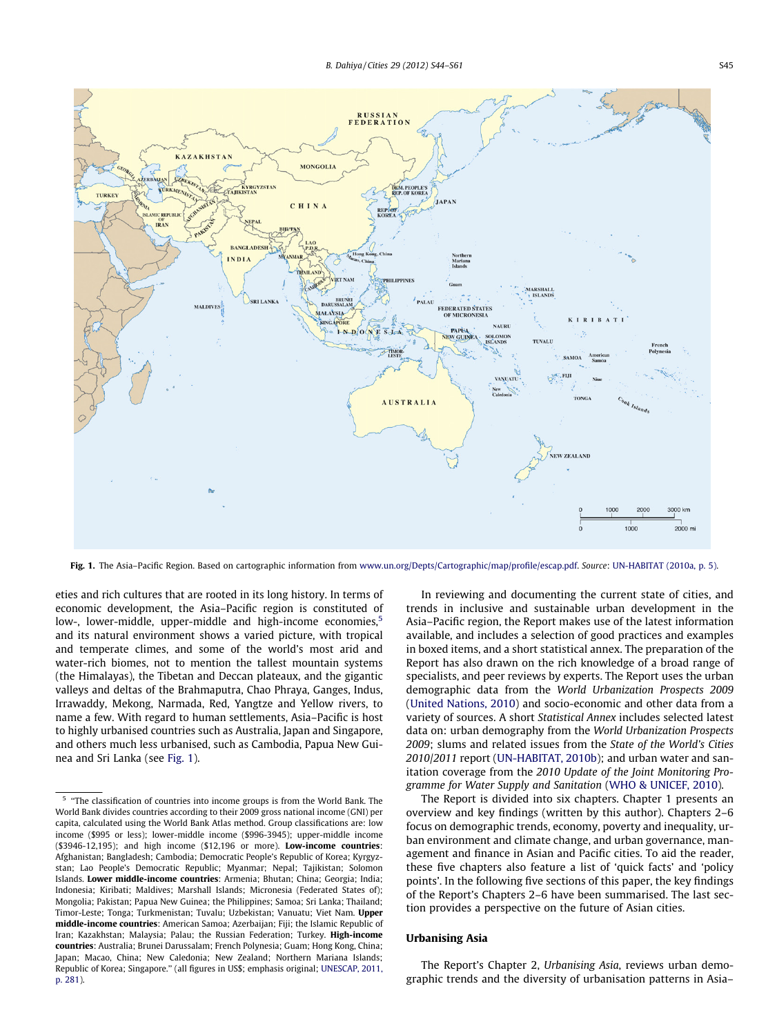

Fig. 1. The Asia-Pacific Region. Based on cartographic information from [www.un.org/Depts/Cartographic/map/profile/escap.pdf.](http://www.un.org/Depts/Cartographic/map/profile/escap.pdf) Source: [UN-HABITAT \(2010a, p. 5\)](#page--1-0).

eties and rich cultures that are rooted in its long history. In terms of economic development, the Asia–Pacific region is constituted of low-, lower-middle, upper-middle and high-income economies,<sup>5</sup> and its natural environment shows a varied picture, with tropical and temperate climes, and some of the world's most arid and water-rich biomes, not to mention the tallest mountain systems (the Himalayas), the Tibetan and Deccan plateaux, and the gigantic valleys and deltas of the Brahmaputra, Chao Phraya, Ganges, Indus, Irrawaddy, Mekong, Narmada, Red, Yangtze and Yellow rivers, to name a few. With regard to human settlements, Asia–Pacific is host to highly urbanised countries such as Australia, Japan and Singapore, and others much less urbanised, such as Cambodia, Papua New Guinea and Sri Lanka (see Fig. 1).

In reviewing and documenting the current state of cities, and trends in inclusive and sustainable urban development in the Asia–Pacific region, the Report makes use of the latest information available, and includes a selection of good practices and examples in boxed items, and a short statistical annex. The preparation of the Report has also drawn on the rich knowledge of a broad range of specialists, and peer reviews by experts. The Report uses the urban demographic data from the World Urbanization Prospects 2009 ([United Nations, 2010](#page--1-0)) and socio-economic and other data from a variety of sources. A short Statistical Annex includes selected latest data on: urban demography from the World Urbanization Prospects 2009; slums and related issues from the State of the World's Cities 2010/2011 report [\(UN-HABITAT, 2010b\)](#page--1-0); and urban water and sanitation coverage from the 2010 Update of the Joint Monitoring Programme for Water Supply and Sanitation [\(WHO & UNICEF, 2010](#page--1-0)).

The Report is divided into six chapters. Chapter 1 presents an overview and key findings (written by this author). Chapters 2–6 focus on demographic trends, economy, poverty and inequality, urban environment and climate change, and urban governance, management and finance in Asian and Pacific cities. To aid the reader, these five chapters also feature a list of 'quick facts' and 'policy points'. In the following five sections of this paper, the key findings of the Report's Chapters 2–6 have been summarised. The last section provides a perspective on the future of Asian cities.

#### Urbanising Asia

The Report's Chapter 2, Urbanising Asia, reviews urban demographic trends and the diversity of urbanisation patterns in Asia–

<sup>&</sup>lt;sup>5</sup> "The classification of countries into income groups is from the World Bank. The World Bank divides countries according to their 2009 gross national income (GNI) per capita, calculated using the World Bank Atlas method. Group classifications are: low income (\$995 or less); lower-middle income (\$996-3945); upper-middle income (\$3946-12,195); and high income (\$12,196 or more). Low-income countries: Afghanistan; Bangladesh; Cambodia; Democratic People's Republic of Korea; Kyrgyzstan; Lao People's Democratic Republic; Myanmar; Nepal; Tajikistan; Solomon Islands. Lower middle-income countries: Armenia; Bhutan; China; Georgia; India; Indonesia; Kiribati; Maldives; Marshall Islands; Micronesia (Federated States of); Mongolia; Pakistan; Papua New Guinea; the Philippines; Samoa; Sri Lanka; Thailand; Timor-Leste; Tonga; Turkmenistan; Tuvalu; Uzbekistan; Vanuatu; Viet Nam. Upper middle-income countries: American Samoa; Azerbaijan; Fiji; the Islamic Republic of Iran; Kazakhstan; Malaysia; Palau; the Russian Federation; Turkey. High-income countries: Australia; Brunei Darussalam; French Polynesia; Guam; Hong Kong, China; Japan; Macao, China; New Caledonia; New Zealand; Northern Mariana Islands; Republic of Korea; Singapore.'' (all figures in US\$; emphasis original; [UNESCAP, 2011,](#page--1-0) [p. 281](#page--1-0)).